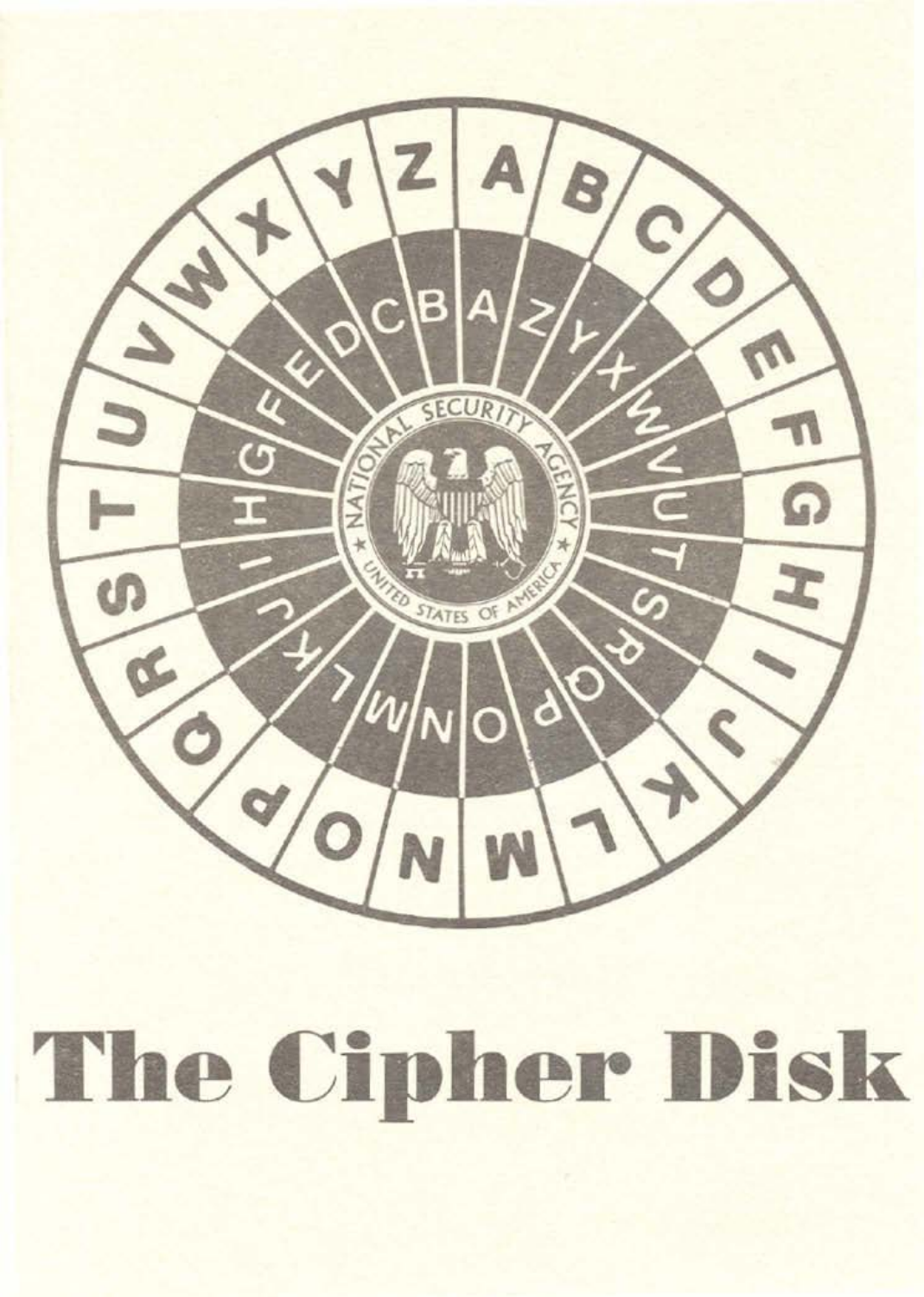

## The Cipher Disk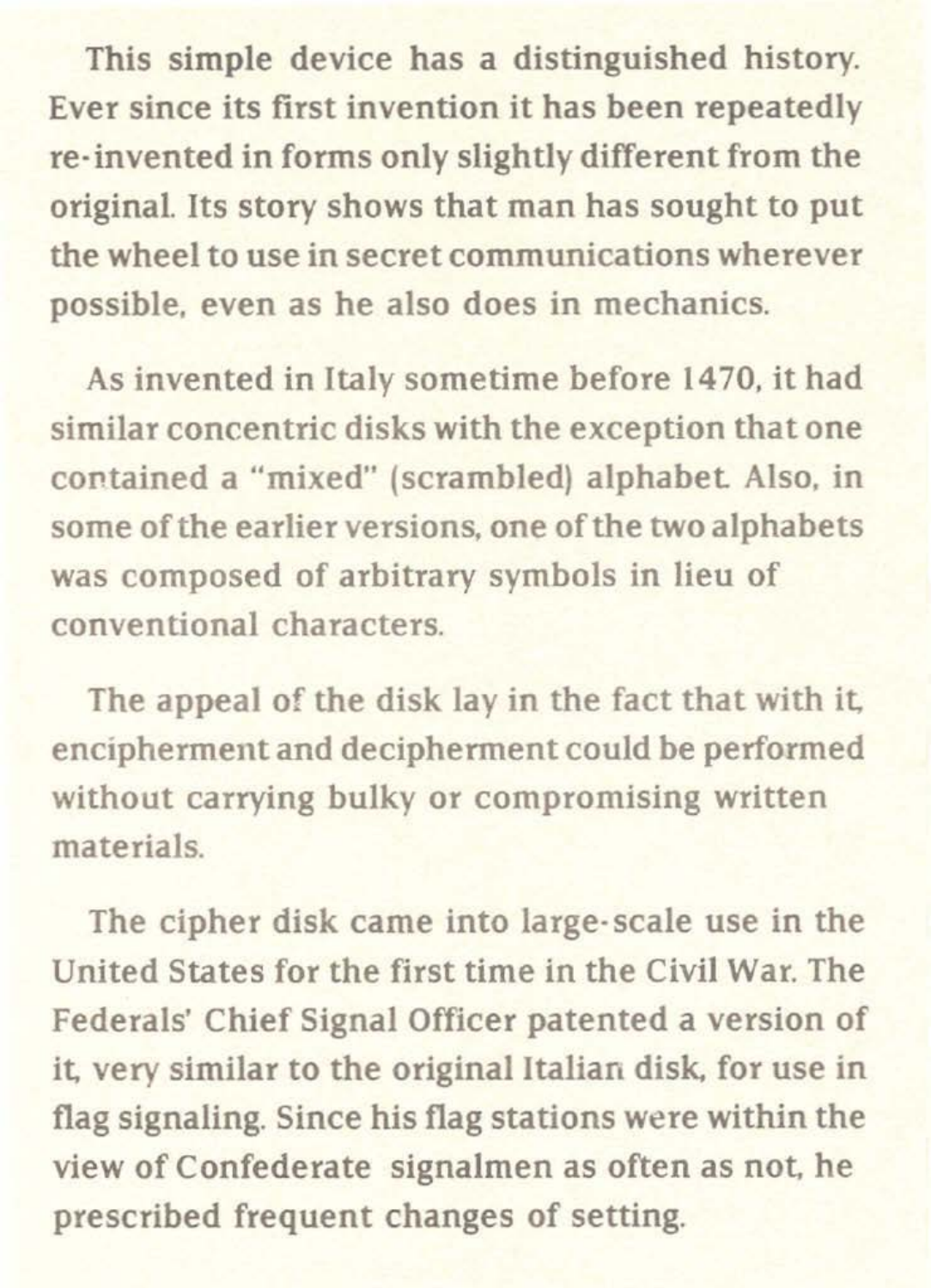This simple device has a distinguished history. Ever since its first invention it has been repeatedly re-invented in forms only slightly different from the original. Its story shows that man has sought to put the wheel to use in secret communications wherever possible, even as he also does in mechanics.

As invented in Italy sometime before 1470, it had similar concentric disks with the exception that one contained a "mixed" {scrambled) alphabet Also, in some of the earlier versions, one of the two alphabets was composed of arbitrary symbols in lieu of conventional characters.

The appeal of the disk lay in the fact that with it, encipherment and decipherment could be performed without carrying bulky or compromising written materials.

The cipher disk came into large· scale use in the United States for the first time in the Civil War. The Federals' Chief Signal Officer patented a version of it, very similar to the original Italian disk, for use in flag signaling. Since his flag stations were within the view of Confederate signalmen as often as not, he prescribed frequent changes of setting.